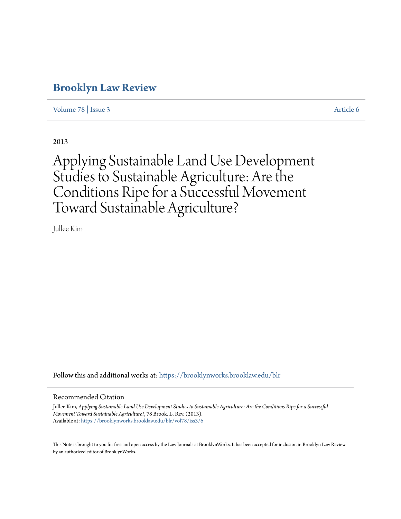# **[Brooklyn Law Review](https://brooklynworks.brooklaw.edu/blr?utm_source=brooklynworks.brooklaw.edu%2Fblr%2Fvol78%2Fiss3%2F6&utm_medium=PDF&utm_campaign=PDFCoverPages)**

[Volume 78](https://brooklynworks.brooklaw.edu/blr/vol78?utm_source=brooklynworks.brooklaw.edu%2Fblr%2Fvol78%2Fiss3%2F6&utm_medium=PDF&utm_campaign=PDFCoverPages) | [Issue 3](https://brooklynworks.brooklaw.edu/blr/vol78/iss3?utm_source=brooklynworks.brooklaw.edu%2Fblr%2Fvol78%2Fiss3%2F6&utm_medium=PDF&utm_campaign=PDFCoverPages) [Article 6](https://brooklynworks.brooklaw.edu/blr/vol78/iss3/6?utm_source=brooklynworks.brooklaw.edu%2Fblr%2Fvol78%2Fiss3%2F6&utm_medium=PDF&utm_campaign=PDFCoverPages)

2013

# Applying Sustainable Land Use Development Studies to Sustainable Agriculture: Are the Conditions Ripe for a Successful Movement Toward Sustainable Agriculture?

Jullee Kim

Follow this and additional works at: [https://brooklynworks.brooklaw.edu/blr](https://brooklynworks.brooklaw.edu/blr?utm_source=brooklynworks.brooklaw.edu%2Fblr%2Fvol78%2Fiss3%2F6&utm_medium=PDF&utm_campaign=PDFCoverPages)

#### Recommended Citation

Jullee Kim, *Applying Sustainable Land Use Development Studies to Sustainable Agriculture: Are the Conditions Ripe for a Successful Movement Toward Sustainable Agriculture?*, 78 Brook. L. Rev. (2013). Available at: [https://brooklynworks.brooklaw.edu/blr/vol78/iss3/6](https://brooklynworks.brooklaw.edu/blr/vol78/iss3/6?utm_source=brooklynworks.brooklaw.edu%2Fblr%2Fvol78%2Fiss3%2F6&utm_medium=PDF&utm_campaign=PDFCoverPages)

This Note is brought to you for free and open access by the Law Journals at BrooklynWorks. It has been accepted for inclusion in Brooklyn Law Review by an authorized editor of BrooklynWorks.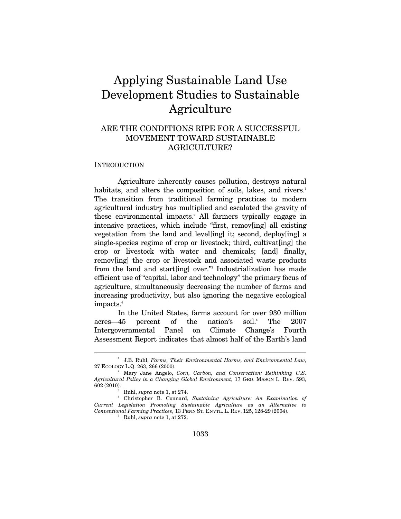# Applying Sustainable Land Use Development Studies to Sustainable Agriculture

# ARE THE CONDITIONS RIPE FOR A SUCCESSFUL MOVEMENT TOWARD SUSTAINABLE AGRICULTURE?

#### **INTRODUCTION**

 $\overline{a}$ 

Agriculture inherently causes pollution, destroys natural habitats, and alters the composition of soils, lakes, and rivers.<sup>1</sup> The transition from traditional farming practices to modern agricultural industry has multiplied and escalated the gravity of these environmental impacts.<sup>2</sup> All farmers typically engage in intensive practices, which include "first, remov[ing] all existing vegetation from the land and level[ing] it; second, deploy[ing] a single-species regime of crop or livestock; third, cultivat[ing] the crop or livestock with water and chemicals; [and] finally, remov[ing] the crop or livestock and associated waste products from the land and start[ing] over." Industrialization has made efficient use of "capital, labor and technology" the primary focus of agriculture, simultaneously decreasing the number of farms and increasing productivity, but also ignoring the negative ecological impacts.<sup>4</sup>

In the United States, farms account for over 930 million acres—45 percent of the nation's soil.<sup>5</sup> The 2007 Intergovernmental Panel on Climate Change's Fourth Assessment Report indicates that almost half of the Earth's land

<sup>&</sup>lt;sup>1</sup> J.B. Ruhl, *Farms, Their Environmental Harms, and Environmental Law*, 27 ECOLOGY L.Q. 263, 266 (2000). 2

Mary Jane Angelo, *Corn, Carbon, and Conservation: Rethinking U.S. Agricultural Policy in a Changing Global Environment*, 17 GEO. MASON L. REV. 593, 602 (2010). 3

Ruhl, *supra* note 1, at 274. 4

Christopher B. Connard, *Sustaining Agriculture: An Examination of Current Legislation Promoting Sustainable Agriculture as an Alternative to Conventional Farming Practices, 13 PENN ST. ENVTL. L. REV. 125, 128-29 (2004).* 

 $5$  Ruhl, *supra* note 1, at 272.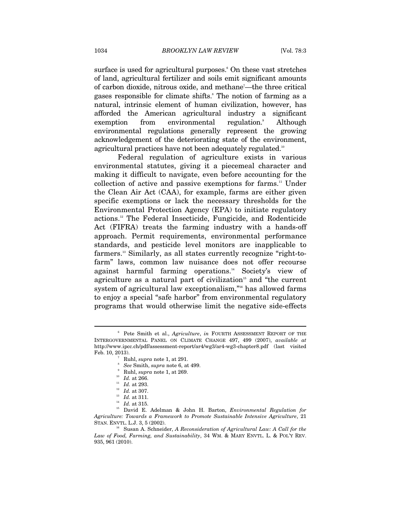surface is used for agricultural purposes.<sup>6</sup> On these vast stretches of land, agricultural fertilizer and soils emit significant amounts of carbon dioxide, nitrous oxide, and methane<sup>7</sup>—the three critical gases responsible for climate shifts.<sup>8</sup> The notion of farming as a natural, intrinsic element of human civilization, however, has afforded the American agricultural industry a significant exemption from environmental regulation.<sup>9</sup> Although environmental regulations generally represent the growing acknowledgement of the deteriorating state of the environment, agricultural practices have not been adequately regulated.<sup>10</sup>

Federal regulation of agriculture exists in various environmental statutes, giving it a piecemeal character and making it difficult to navigate, even before accounting for the collection of active and passive exemptions for farms.<sup>11</sup> Under the Clean Air Act (CAA), for example, farms are either given specific exemptions or lack the necessary thresholds for the Environmental Protection Agency (EPA) to initiate regulatory actions.12 The Federal Insecticide, Fungicide, and Rodenticide Act (FIFRA) treats the farming industry with a hands-off approach. Permit requirements, environmental performance standards, and pesticide level monitors are inapplicable to farmers.13 Similarly, as all states currently recognize "right-tofarm" laws, common law nuisance does not offer recourse against harmful farming operations.14 Society's view of agriculture as a natural part of civilization<sup>15</sup> and "the current system of agricultural law exceptionalism,"<sup>16</sup> has allowed farms to enjoy a special "safe harbor" from environmental regulatory programs that would otherwise limit the negative side-effects

<sup>6</sup> Pete Smith et al., *Agriculture*, *in* FOURTH ASSESSMENT REPORT OF THE INTERGOVERNMENTAL PANEL ON CLIMATE CHANGE 497, 499 (2007), *available at*  http://www.ipcc.ch/pdf/assessment-report/ar4/wg3/ar4-wg3-chapter8.pdf (last visited Feb. 10, 2013).

Ruhl, *supra* note 1, at 291. 8

*See Smith, supra note 6, at 499.*<br>*Ruhl, supra note 1, at 269.* 

<sup>&</sup>lt;sup>10</sup> *Id.* at 266.<br><sup>11</sup> *Id.* at 293.<br><sup>12</sup> *Id.* at 307.<br><sup>13</sup> *Id.* at 311.<br><sup>14</sup> *Id.* at 315.<br><sup>15</sup> David E. Adelman & John H. Barton, *Environmental Regulation for Agriculture: Towards a Framework to Promote Sustainable Intensive Agriculture*, 21 STAN. ENVTL. L.J. 3, 5 (2002).<br><sup>16</sup> Susan A. Schneider, *A Reconsideration of Agricultural Law: A Call for the* 

*Law of Food, Farming, and Sustainability*, 34 WM. & MARY ENVTL. L. & POL'Y REV. 935, 961 (2010).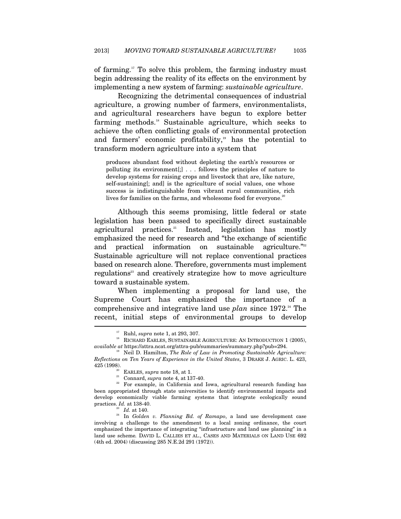of farming.17 To solve this problem, the farming industry must begin addressing the reality of its effects on the environment by implementing a new system of farming: *sustainable agriculture*.

Recognizing the detrimental consequences of industrial agriculture, a growing number of farmers, environmentalists, and agricultural researchers have begun to explore better farming methods.18 Sustainable agriculture, which seeks to achieve the often conflicting goals of environmental protection and farmers' economic profitability, $\mathbb{I}^9$  has the potential to transform modern agriculture into a system that

produces abundant food without depleting the earth's resources or polluting its environment[;] . . . follows the principles of nature to develop systems for raising crops and livestock that are, like nature, self-sustaining[; and] is the agriculture of social values, one whose success is indistinguishable from vibrant rural communities, rich lives for families on the farms, and wholesome food for everyone.<sup>20</sup>

Although this seems promising, little federal or state legislation has been passed to specifically direct sustainable agricultural practices.<sup>21</sup> Instead, legislation has mostly emphasized the need for research and "the exchange of scientific and practical information on sustainable agriculture. ${}^{x_{22}}$ Sustainable agriculture will not replace conventional practices based on research alone. Therefore, governments must implement regulations<sup>23</sup> and creatively strategize how to move agriculture toward a sustainable system.

When implementing a proposal for land use, the Supreme Court has emphasized the importance of a comprehensive and integrative land use *plan* since 1972.<sup>24</sup> The recent, initial steps of environmental groups to develop  $\overline{a}$ 

 $^{17}$  Ruhl,  ${supra}$  note 1, at 293, 307.  $\,$  eRICULTURE: AN INTRODUCTION 1 (2005), RICHARD EARLES, SUSTAINABLE AGRICULTURE: AN INTRODUCTION 1 (2005), *available at* https://attra.ncat.org/attra-pub/summaries/summary.php?pub=294. 19 Neil D. Hamilton, *The Role of Law in Promoting Sustainable Agriculture:* 

*Reflections on Ten Years of Experience in the United States*, 3 DRAKE J. AGRIC. L. 423, 425 (1998). 20 EARLES, *supra* note 18, at 1. 21 Connard, *supra* note 4, at 137-40. 22 For example, in California and Iowa, agricultural research funding has

been appropriated through state universities to identify environmental impacts and develop economically viable farming systems that integrate ecologically sound practices.  $Id$ . at 138-40.

<sup>&</sup>lt;sup>23</sup> Id. at 140.<br><sup>24</sup> In *Golden v. Planning Bd. of Ramapo*, a land use development case involving a challenge to the amendment to a local zoning ordinance, the court emphasized the importance of integrating "infrastructure and land use planning" in a land use scheme*.* DAVID L. CALLIES ET AL., CASES AND MATERIALS ON LAND USE 692 (4th ed. 2004) (discussing 285 N.E.2d 291 (1972)).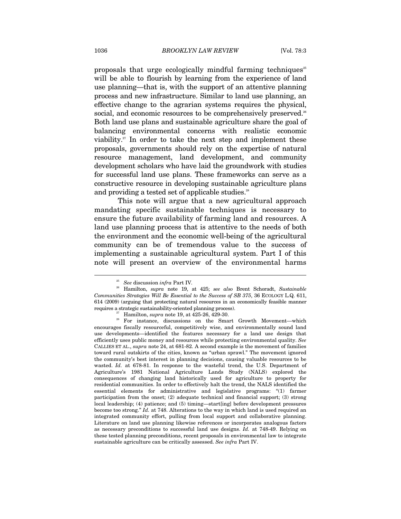proposals that urge ecologically mindful farming techniques<sup> $25$ </sup> will be able to flourish by learning from the experience of land use planning—that is, with the support of an attentive planning process and new infrastructure. Similar to land use planning, an effective change to the agrarian systems requires the physical, social, and economic resources to be comprehensively preserved.<sup>26</sup> Both land use plans and sustainable agriculture share the goal of balancing environmental concerns with realistic economic viability. $27$  In order to take the next step and implement these proposals, governments should rely on the expertise of natural resource management, land development, and community development scholars who have laid the groundwork with studies for successful land use plans. These frameworks can serve as a constructive resource in developing sustainable agriculture plans and providing a tested set of applicable studies.<sup>28</sup>

This note will argue that a new agricultural approach mandating specific sustainable techniques is necessary to ensure the future availability of farming land and resources. A land use planning process that is attentive to the needs of both the environment and the economic well-being of the agricultural community can be of tremendous value to the success of implementing a sustainable agricultural system. Part I of this note will present an overview of the environmental harms

<sup>25</sup> *See* discussion *infra* Part IV*.*

<sup>26</sup> Hamilton, *supra* note 19, at 425; *see also* Brent Schoradt, *Sustainable Communities Strategies Will Be Essential to the Success of SB 375*, 36 ECOLOGY L.Q. 611, 614 (2009) (arguing that protecting natural resources in an economically feasible manner

requires a strategic sustainability-oriented planning process).<br><sup>27</sup> Hamilton, *supra* note 19, at 425-26, 429-30.<br><sup>28</sup> For instance, discussions on the Smart Growth Movement—which encourages fiscally resourceful, competitively wise, and environmentally sound land use developments—identified the features necessary for a land use design that efficiently uses public money and resources while protecting environmental quality. *See*  CALLIES ET AL., *supra* note 24, at 681-82. A second example is the movement of families toward rural outskirts of the cities, known as "urban sprawl." The movement ignored the community's best interest in planning decisions, causing valuable resources to be wasted. *Id.* at 678-81. In response to the wasteful trend, the U.S. Department of Agriculture's 1981 National Agriculture Lands Study (NALS) explored the consequences of changing land historically used for agriculture to property for residential communities. In order to effectively halt the trend, the NALS identified the essential elements for administrative and legislative programs: "(1) farmer participation from the onset; (2) adequate technical and financial support; (3) strong local leadership; (4) patience; and (5) timing—start[ing] before development pressures become too strong." *Id.* at 748. Alterations to the way in which land is used required an integrated community effort, pulling from local support and collaborative planning. Literature on land use planning likewise references or incorporates analogous factors as necessary preconditions to successful land use designs. *Id.* at 748-49. Relying on these tested planning preconditions, recent proposals in environmental law to integrate sustainable agriculture can be critically assessed. *See infra* Part IV.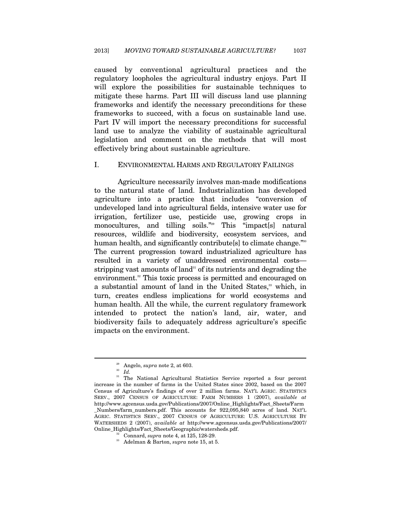caused by conventional agricultural practices and the regulatory loopholes the agricultural industry enjoys. Part II will explore the possibilities for sustainable techniques to mitigate these harms. Part III will discuss land use planning frameworks and identify the necessary preconditions for these frameworks to succeed, with a focus on sustainable land use. Part IV will import the necessary preconditions for successful land use to analyze the viability of sustainable agricultural legislation and comment on the methods that will most effectively bring about sustainable agriculture.

#### I. ENVIRONMENTAL HARMS AND REGULATORY FAILINGS

Agriculture necessarily involves man-made modifications to the natural state of land. Industrialization has developed agriculture into a practice that includes "conversion of undeveloped land into agricultural fields, intensive water use for irrigation, fertilizer use, pesticide use, growing crops in monocultures, and tilling soils."29 This "impact[s] natural resources, wildlife and biodiversity, ecosystem services, and human health, and significantly contribute [s] to climate change."<sup>30</sup> The current progression toward industrialized agriculture has resulted in a variety of unaddressed environmental costs stripping vast amounts of land<sup>31</sup> of its nutrients and degrading the environment.<sup>32</sup> This toxic process is permitted and encouraged on a substantial amount of land in the United States,<sup>33</sup> which, in turn, creates endless implications for world ecosystems and human health. All the while, the current regulatory framework intended to protect the nation's land, air, water, and biodiversity fails to adequately address agriculture's specific impacts on the environment.

<sup>29</sup> Angelo, *supra* note 2, at 603. 30 *Id.*

<sup>&</sup>lt;sup>31</sup> The National Agricultural Statistics Service reported a four percent increase in the number of farms in the United States since 2002, based on the 2007 Census of Agriculture's findings of over 2 million farms. NAT'L AGRIC. STATISTICS SERV., 2007 CENSUS OF AGRICULTURE: FARM NUMBERS 1 (2007), *available at* http://www.agcensus.usda.gov/Publications/2007/Online\_Highlights/Fact\_Sheets/Farm \_Numbers/farm\_numbers.pdf. This accounts for 922,095,840 acres of land. NAT'L AGRIC. STATISTICS SERV., 2007 CENSUS OF AGRICULTURE: U.S. AGRICULTURE BY WATERSHEDS 2 (2007), *available at* http://www.agcensus.usda.gov/Publications/2007/

<sup>&</sup>lt;sup>32</sup> Connard, *supra* note 4, at 125, 128-29.<br><sup>33</sup> Adelman & Barton, *supra* note 15, at 5.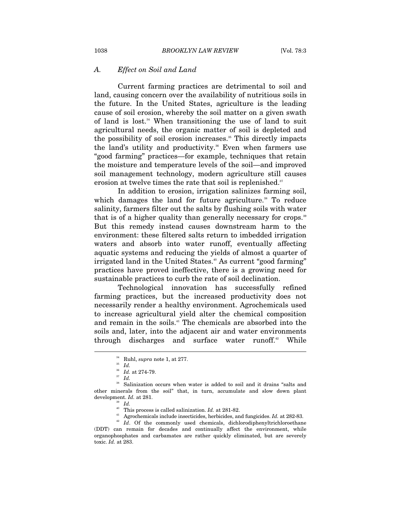#### *A. Effect on Soil and Land*

Current farming practices are detrimental to soil and land, causing concern over the availability of nutritious soils in the future. In the United States, agriculture is the leading cause of soil erosion, whereby the soil matter on a given swath of land is lost.34 When transitioning the use of land to suit agricultural needs, the organic matter of soil is depleted and the possibility of soil erosion increases.<sup>35</sup> This directly impacts the land's utility and productivity.<sup>36</sup> Even when farmers use "good farming" practices—for example, techniques that retain the moisture and temperature levels of the soil—and improved soil management technology, modern agriculture still causes erosion at twelve times the rate that soil is replenished.<sup>37</sup>

In addition to erosion, irrigation salinizes farming soil, which damages the land for future agriculture.<sup>38</sup> To reduce salinity, farmers filter out the salts by flushing soils with water that is of a higher quality than generally necessary for crops.<sup>39</sup> But this remedy instead causes downstream harm to the environment: these filtered salts return to imbedded irrigation waters and absorb into water runoff, eventually affecting aquatic systems and reducing the yields of almost a quarter of irrigated land in the United States.<sup>40</sup> As current "good farming" practices have proved ineffective, there is a growing need for sustainable practices to curb the rate of soil declination.

Technological innovation has successfully refined farming practices, but the increased productivity does not necessarily render a healthy environment. Agrochemicals used to increase agricultural yield alter the chemical composition and remain in the soils.41 The chemicals are absorbed into the soils and, later, into the adjacent air and water environments through discharges and surface water runoff.<sup>42</sup> While

<sup>&</sup>lt;sup>34</sup> Ruhl, *supra* note 1, at 277.<br><sup>35</sup> *Id.* 36<br><sup>36</sup> *Id.* 36<br><sup>37</sup> *Id.* 38 Salinization occurs when water is added to soil and it drains "salts and other minerals from the soil" that, in turn, accumulate and slow down plant development. *Id.* at 281.<br><sup>39</sup> *Id.* This process is called salinization. *Id.* at 281-82.

<sup>&</sup>lt;sup>41</sup> Agrochemicals include insecticides, herbicides, and fungicides. *Id.* at 282-83.<br><sup>42</sup> *Id.* Of the commonly used chemicals, dichlorodiphenyltrichloroethane

<sup>(</sup>DDT) can remain for decades and continually affect the environment, while organophosphates and carbamates are rather quickly eliminated, but are severely toxic. *Id.* at 283.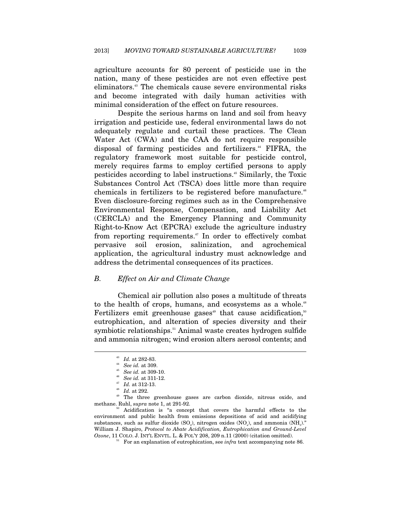agriculture accounts for 80 percent of pesticide use in the nation, many of these pesticides are not even effective pest eliminators.43 The chemicals cause severe environmental risks and become integrated with daily human activities with minimal consideration of the effect on future resources.

Despite the serious harms on land and soil from heavy irrigation and pesticide use, federal environmental laws do not adequately regulate and curtail these practices. The Clean Water Act (CWA) and the CAA do not require responsible disposal of farming pesticides and fertilizers.<sup>44</sup> FIFRA, the regulatory framework most suitable for pesticide control, merely requires farms to employ certified persons to apply pesticides according to label instructions.45 Similarly, the Toxic Substances Control Act (TSCA) does little more than require chemicals in fertilizers to be registered before manufacture.<sup>46</sup> Even disclosure-forcing regimes such as in the Comprehensive Environmental Response, Compensation, and Liability Act (CERCLA) and the Emergency Planning and Community Right-to-Know Act (EPCRA) exclude the agriculture industry from reporting requirements.<sup>47</sup> In order to effectively combat pervasive soil erosion, salinization, and agrochemical application, the agricultural industry must acknowledge and address the detrimental consequences of its practices.

#### *B. Effect on Air and Climate Change*

Chemical air pollution also poses a multitude of threats to the health of crops, humans, and ecosystems as a whole.<sup>48</sup> Fertilizers emit greenhouse gases<sup>49</sup> that cause acidification,<sup>50</sup> eutrophication, and alteration of species diversity and their symbiotic relationships.<sup>51</sup> Animal waste creates hydrogen sulfide and ammonia nitrogen; wind erosion alters aerosol contents; and

<sup>&</sup>lt;sup>43</sup> *Id.* at 282-83.<br>
<sup>44</sup> *See id.* at 309-10.<br>
<sup>46</sup> *See id.* at 311-12.<br>
<sup>47</sup> *Id.* at 312-13.<br>
<sup>48</sup> *Id.* at 292.<br>
<sup>49</sup> The three greenhouse gases are carbon dioxide, nitrous oxide, and<br>
methane. Ruhl, *supra* note 1

<sup>&</sup>lt;sup>50</sup> Acidification is "a concept that covers the harmful effects to the environment and public health from emissions depositions of acid and acidifying substances, such as sulfur dioxide  $(SO<sub>2</sub>)$ , nitrogen oxides  $(NO<sub>x</sub>)$ , and ammonia  $(NH<sub>3</sub>)$ ." William J. Shapiro, *Protocol to Abate Acidification, Eutrophication and Ground-Level Ozone*, 11 COLO. J. INT'L ENVTL. L. & POL'Y 208, 209 n.11 (2000) (citation omitted). 51 For an explanation of eutrophication, see *infra* text accompanying note 86.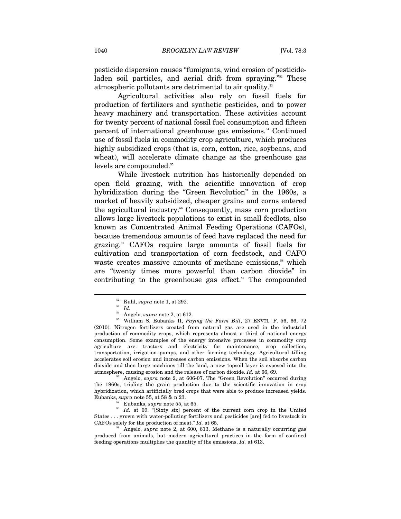pesticide dispersion causes "fumigants, wind erosion of pesticideladen soil particles, and aerial drift from spraying."<sup>52</sup> These atmospheric pollutants are detrimental to air quality.53

Agricultural activities also rely on fossil fuels for production of fertilizers and synthetic pesticides, and to power heavy machinery and transportation. These activities account for twenty percent of national fossil fuel consumption and fifteen percent of international greenhouse gas emissions.<sup>54</sup> Continued use of fossil fuels in commodity crop agriculture, which produces highly subsidized crops (that is, corn, cotton, rice, soybeans, and wheat), will accelerate climate change as the greenhouse gas levels are compounded.<sup>55</sup>

While livestock nutrition has historically depended on open field grazing, with the scientific innovation of crop hybridization during the "Green Revolution" in the 1960s, a market of heavily subsidized, cheaper grains and corns entered the agricultural industry.<sup>56</sup> Consequently, mass corn production allows large livestock populations to exist in small feedlots, also known as Concentrated Animal Feeding Operations (CAFOs), because tremendous amounts of feed have replaced the need for grazing.57 CAFOs require large amounts of fossil fuels for cultivation and transportation of corn feedstock, and CAFO waste creates massive amounts of methane emissions,<sup>58</sup> which are "twenty times more powerful than carbon dioxide" in contributing to the greenhouse gas effect. $59$  The compounded

 $\overline{a}$ 

the 1960s, tripling the grain production due to the scientific innovation in crop hybridization, which artificially bred crops that were able to produce increased yields.

Eubanks, *supra* note 55, at 58 & n.23.<br><sup>57</sup> Eubanks, *supra* note 55, at 65.<br><sup>58</sup> *Id.* at 69. "[Sixty six] percent of the current corn crop in the United States . . . grown with water-polluting fertilizers and pesticides [are] fed to livestock in CAFOs solely for the production of meat." *Id.* at 65.<br><sup>59</sup> Angelo, *supra* note 2, at 600, 613. Methane is a naturally occurring gas

produced from animals, but modern agricultural practices in the form of confined feeding operations multiplies the quantity of the emissions. *Id.* at 613.

 $^{52}_{\phantom{5}53}$  Ruhl,  $supra$  note 1, at 292.<br> $^{54}_{\phantom{5}54}$  Angelo,  $supra$  note 2, at 612.

<sup>&</sup>lt;sup>55</sup> William S. Eubanks II, *Paying the Farm Bill*, 27 ENVTL. F. 56, 66, 72 (2010). Nitrogen fertilizers created from natural gas are used in the industrial production of commodity crops, which represents almost a third of national energy consumption. Some examples of the energy intensive processes in commodity crop agriculture are: tractors and electricity for maintenance, crop collection, transportation, irrigation pumps, and other farming technology. Agricultural tilling accelerates soil erosion and increases carbon emissions. When the soil absorbs carbon dioxide and then large machines till the land, a new topsoil layer is exposed into the atmosphere, causing erosion and the release of carbon dioxide. *Id.* at 66, 69.<br><sup>56</sup> Angelo, *supra* note 2, at 606-07. The "Green Revolution" occurred during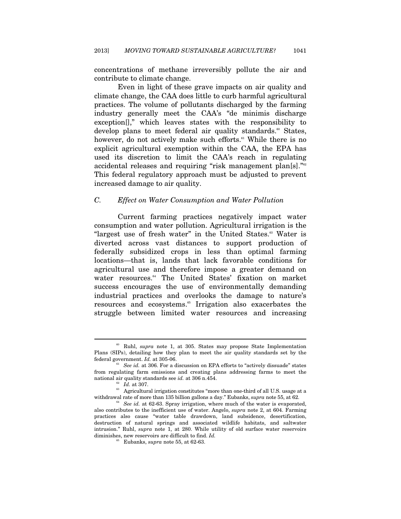concentrations of methane irreversibly pollute the air and contribute to climate change.

Even in light of these grave impacts on air quality and climate change, the CAA does little to curb harmful agricultural practices. The volume of pollutants discharged by the farming industry generally meet the CAA's "de minimis discharge exception[]," which leaves states with the responsibility to develop plans to meet federal air quality standards.<sup>60</sup> States, however, do not actively make such efforts.<sup>61</sup> While there is no explicit agricultural exemption within the CAA, the EPA has used its discretion to limit the CAA's reach in regulating accidental releases and requiring "risk management plan[s]."<sup>62</sup> This federal regulatory approach must be adjusted to prevent increased damage to air quality.

#### *C. Effect on Water Consumption and Water Pollution*

Current farming practices negatively impact water consumption and water pollution. Agricultural irrigation is the "largest use of fresh water" in the United States.<sup>63</sup> Water is diverted across vast distances to support production of federally subsidized crops in less than optimal farming locations—that is, lands that lack favorable conditions for agricultural use and therefore impose a greater demand on water resources.<sup>64</sup> The United States' fixation on market success encourages the use of environmentally demanding industrial practices and overlooks the damage to nature's resources and ecosystems.<sup>65</sup> Irrigation also exacerbates the struggle between limited water resources and increasing

<sup>60</sup> Ruhl, *supra* note 1, at 305. States may propose State Implementation Plans (SIPs), detailing how they plan to meet the air quality standards set by the federal government.  $Id$ . at 305-06.

<sup>&</sup>lt;sup>61</sup> See id. at 306. For a discussion on EPA efforts to "actively dissuade" states from regulating farm emissions and creating plans addressing farms to meet the national air quality standards see  $id$ . at 306 n.454.

 $\frac{a}{2}$  *id.* at 307.<br>Agricultural irrigation constitutes "more than one-third of all U.S. usage at a<br>withdrawal rate of more than 135 billion gallons a day." Eubanks, *supra* note 55, at 62.

<sup>&</sup>lt;sup>64</sup> See id. at 62-63. Spray irrigation, where much of the water is evaporated, also contributes to the inefficient use of water. Angelo, *supra* note 2, at 604. Farming practices also cause "water table drawdown, land subsidence, desertification, destruction of natural springs and associated wildlife habitats, and saltwater intrusion." Ruhl, *supra* note 1, at 280. While utility of old surface water reservoirs diminishes, new reservoirs are difficult to find. *Id.*

<sup>65</sup> Eubanks, *supra* note 55, at 62-63.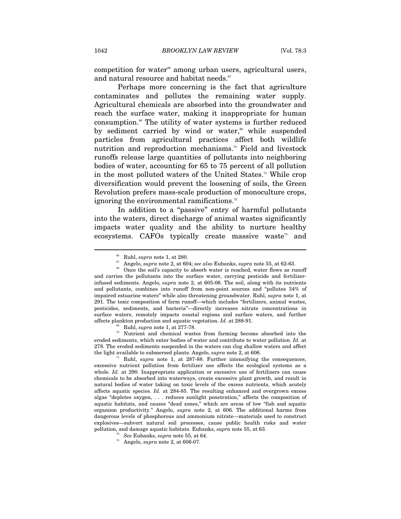competition for water<sup>66</sup> among urban users, agricultural users, and natural resource and habitat needs.<sup>67</sup>

Perhaps more concerning is the fact that agriculture contaminates and pollutes the remaining water supply. Agricultural chemicals are absorbed into the groundwater and reach the surface water, making it inappropriate for human consumption.<sup>68</sup> The utility of water systems is further reduced by sediment carried by wind or water,<sup> $\omega$ </sup> while suspended particles from agricultural practices affect both wildlife nutrition and reproduction mechanisms.<sup>70</sup> Field and livestock runoffs release large quantities of pollutants into neighboring bodies of water, accounting for 65 to 75 percent of all pollution in the most polluted waters of the United States.<sup>71</sup> While crop diversification would prevent the loosening of soils, the Green Revolution prefers mass-scale production of monoculture crops, ignoring the environmental ramifications.<sup>72</sup>

In addition to a "passive" entry of harmful pollutants into the waters, direct discharge of animal wastes significantly impacts water quality and the ability to nurture healthy ecosystems. CAFOs typically create massive waste<sup>73</sup> and

affects plankton production and aquatic vegetation. *Id.* at 288-91.<br><sup>69</sup> Ruhl, *supra* note 1, at 277-78.<br><sup>70</sup> Nutrient and chemical wastes from farming become absorbed into the eroded sediments, which enter bodies of water and contribute to water pollution. *Id.* at 278. The eroded sediments suspended in the waters can clog shallow waters and affect the light available to submersed plants. Angelo, *supra* note 2, at 606.<br><sup>71</sup> Ruhl, *supra* note 1, at 287-88. Further intensifying the consequences,

excessive nutrient pollution from fertilizer use affects the ecological systems as a whole. *Id.* at 290. Inappropriate application or excessive use of fertilizers can cause chemicals to be absorbed into waterways, create excessive plant growth, and result in natural bodies of water taking on toxic levels of the excess nutrients, which acutely affects aquatic species. *Id.* at 284-85. The resulting enhanced and overgrown excess algae "depletes oxygen, . . . reduces sunlight penetration," affects the composition of aquatic habitats, and causes "dead zones," which are areas of low "fish and aquatic organism productivity." Angelo, *supra* note 2, at 606. The additional harms from dangerous levels of phosphorous and ammonium nitrate—materials used to construct explosives—subvert natural soil processes, cause public health risks and water pollution, and damage aquatic habitats. Eubanks, *supra* note 55, at 63. *<sup>72</sup> See* Eubanks, *supra* note 55, at 64. *<sup>73</sup>* Angelo, *supra* note 2, at 606-07.

<sup>&</sup>lt;sup>66</sup> Ruhl, *supra* note 1, at 280.<br><sup>67</sup> Angelo, *supra* note 2, at 604; *see also* Eubanks, *supra* note 55, at 62-63.<br><sup>68</sup> Once the soil's capacity to absorb water is reached, water flows as runoff and carries the pollutants into the surface water, carrying pesticide and fertilizerinfused sediments. Angelo, *supra* note 2, at 605-06. The soil, along with its nutrients and pollutants, combines into runoff from non-point sources and "pollutes 34% of impaired estuarine waters" while also threatening groundwater. Ruhl, *supra* note 1, at 291. The toxic composition of farm runoff—which includes "fertilizers, animal wastes, pesticides, sediments, and bacteria"—directly increases nitrate concentrations in surface waters, remotely impacts coastal regions and surface waters, and further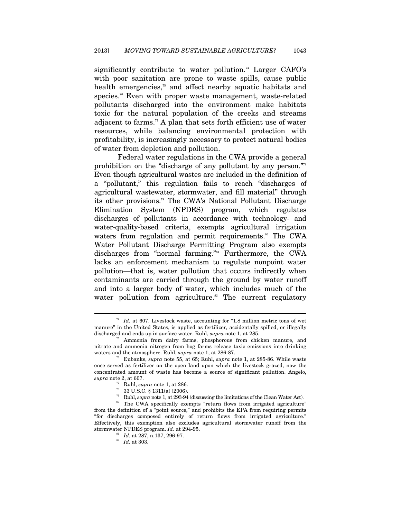significantly contribute to water pollution.<sup>74</sup> Larger CAFO's with poor sanitation are prone to waste spills, cause public health emergencies,<sup>75</sup> and affect nearby aquatic habitats and species.<sup>76</sup> Even with proper waste management, waste-related pollutants discharged into the environment make habitats toxic for the natural population of the creeks and streams adjacent to farms.<sup>77</sup> A plan that sets forth efficient use of water resources, while balancing environmental protection with profitability, is increasingly necessary to protect natural bodies of water from depletion and pollution.

Federal water regulations in the CWA provide a general prohibition on the "discharge of any pollutant by any person."78 Even though agricultural wastes are included in the definition of a "pollutant," this regulation fails to reach "discharges of agricultural wastewater, stormwater, and fill material" through its other provisions.79 The CWA's National Pollutant Discharge Elimination System (NPDES) program, which regulates discharges of pollutants in accordance with technology- and water-quality-based criteria, exempts agricultural irrigation waters from regulation and permit requirements.<sup>80</sup> The CWA Water Pollutant Discharge Permitting Program also exempts discharges from "normal farming."<sup>81</sup> Furthermore, the CWA lacks an enforcement mechanism to regulate nonpoint water pollution—that is, water pollution that occurs indirectly when contaminants are carried through the ground by water runoff and into a larger body of water, which includes much of the water pollution from agriculture.<sup>82</sup> The current regulatory

<sup>&</sup>lt;sup>74</sup> Id. at 607. Livestock waste, accounting for "1.8 million metric tons of wet manure" in the United States, is applied as fertilizer, accidentally spilled, or illegally discharged and ends up in surface water. Ruhl, *supra* note 1, at 285.<br><sup>75</sup> Ammonia from dairy farms, phosphorous from chicken manure, and

nitrate and ammonia nitrogen from hog farms release toxic emissions into drinking waters and the atmosphere. Ruhl, *supra* note 1, at 286-87.<br><sup>76</sup> Eubanks, *supra* note 55, at 65; Ruhl, *supra* note 1, at 285-86. While waste

once served as fertilizer on the open land upon which the livestock grazed, now the concentrated amount of waste has become a source of significant pollution. Angelo,  $\begin{array}{ll} \textit{supra} \text{ note 2, at 607.} \\ \textit{77} \text{ Ruhl, } \textit{supra} \text{ note 1, at 286.} \\ \textit{78} \text{ 33 U.S.C. § } 1311(a) \text{ (2006).} \\ \textit{79} \text{ Ruhl, } \textit{supra} \text{ note 1, at 293-94 (discussing the limitations of the Clean Water Act).} \end{array}$ 

<sup>&</sup>lt;sup>80</sup> The CWA specifically exempts "return flows from irrigated agriculture" from the definition of a "point source," and prohibits the EPA from requiring permits "for discharges composed entirely of return flows from irrigated agriculture." Effectively, this exemption also excludes agricultural stormwater runoff from the stormwater NPDES program. *Id.* at 294-95.<br><sup>81</sup> *Id.* at 287, n.137, 296-97.<br><sup>82</sup> *Id.* at 303.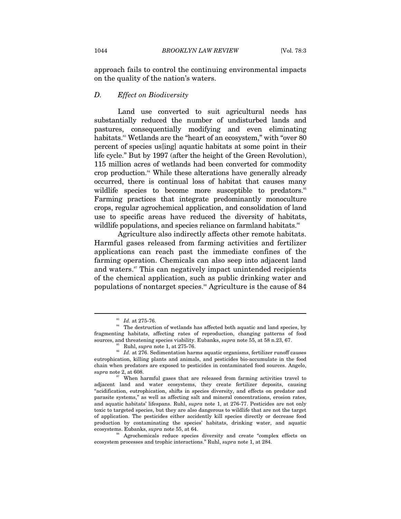approach fails to control the continuing environmental impacts on the quality of the nation's waters.

#### *D. Effect on Biodiversity*

Land use converted to suit agricultural needs has substantially reduced the number of undisturbed lands and pastures, consequentially modifying and even eliminating habitats.<sup>88</sup> Wetlands are the "heart of an ecosystem," with "over 80 percent of species us[ing] aquatic habitats at some point in their life cycle." But by 1997 (after the height of the Green Revolution), 115 million acres of wetlands had been converted for commodity crop production.<sup>84</sup> While these alterations have generally already occurred, there is continual loss of habitat that causes many wildlife species to become more susceptible to predators.<sup>85</sup> Farming practices that integrate predominantly monoculture crops, regular agrochemical application, and consolidation of land use to specific areas have reduced the diversity of habitats, wildlife populations, and species reliance on farmland habitats.<sup>86</sup>

Agriculture also indirectly affects other remote habitats. Harmful gases released from farming activities and fertilizer applications can reach past the immediate confines of the farming operation. Chemicals can also seep into adjacent land and waters.<sup>87</sup> This can negatively impact unintended recipients of the chemical application, such as public drinking water and populations of nontarget species.<sup>88</sup> Agriculture is the cause of 84

 $\stackrel{\textup{83}}{d}$  *Id.* at 275-76. The destruction of wetlands has affected both aquatic and land species, by fragmenting habitats, affecting rates of reproduction, changing patterns of food

sources, and threatening species viability. Eubanks, *supra* note 55, at 58 n.23, 67.<br><sup>85</sup> Ruhl, *supra* note 1, at 275-76.<br>*Id.* at 276. Sedimentation harms aquatic organisms, fertilizer runoff causes eutrophication, killing plants and animals, and pesticides bio-accumulate in the food chain when predators are exposed to pesticides in contaminated food sources. Angelo,  $supra$  note 2, at 608.

<sup>&</sup>lt;sup>87</sup> When harmful gases that are released from farming activities travel to adjacent land and water ecosystems, they create fertilizer deposits, causing "acidification, eutrophication, shifts in species diversity, and effects on predator and parasite systems," as well as affecting salt and mineral concentrations, erosion rates, and aquatic habitats' lifespans. Ruhl, *supra* note 1, at 276-77. Pesticides are not only toxic to targeted species, but they are also dangerous to wildlife that are not the target of application. The pesticides either accidently kill species directly or decrease food production by contaminating the species' habitats, drinking water, and aquatic ecosystems. Eubanks, *supra* note 55, at 64.

<sup>&</sup>lt;sup>88</sup> Agrochemicals reduce species diversity and create "complex effects on ecosystem processes and trophic interactions." Ruhl, *supra* note 1, at 284.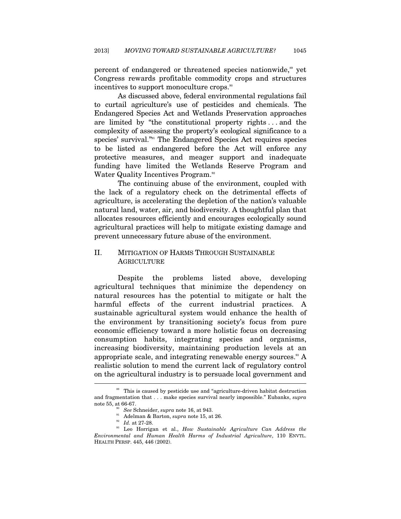percent of endangered or threatened species nationwide,<sup>89</sup> yet Congress rewards profitable commodity crops and structures incentives to support monoculture crops.<sup>90</sup>

As discussed above, federal environmental regulations fail to curtail agriculture's use of pesticides and chemicals. The Endangered Species Act and Wetlands Preservation approaches are limited by "the constitutional property rights . . . and the complexity of assessing the property's ecological significance to a species' survival."91 The Endangered Species Act requires species to be listed as endangered before the Act will enforce any protective measures, and meager support and inadequate funding have limited the Wetlands Reserve Program and Water Quality Incentives Program.<sup>92</sup>

The continuing abuse of the environment, coupled with the lack of a regulatory check on the detrimental effects of agriculture, is accelerating the depletion of the nation's valuable natural land, water, air, and biodiversity. A thoughtful plan that allocates resources efficiently and encourages ecologically sound agricultural practices will help to mitigate existing damage and prevent unnecessary future abuse of the environment.

# II. MITIGATION OF HARMS THROUGH SUSTAINABLE **AGRICULTURE**

Despite the problems listed above, developing agricultural techniques that minimize the dependency on natural resources has the potential to mitigate or halt the harmful effects of the current industrial practices. A sustainable agricultural system would enhance the health of the environment by transitioning society's focus from pure economic efficiency toward a more holistic focus on decreasing consumption habits, integrating species and organisms, increasing biodiversity, maintaining production levels at an appropriate scale, and integrating renewable energy sources.<sup>33</sup> A realistic solution to mend the current lack of regulatory control on the agricultural industry is to persuade local government and l

<sup>&</sup>lt;sup>89</sup> This is caused by pesticide use and "agriculture-driven habitat destruction and fragmentation that . . . make species survival nearly impossible." Eubanks, *supra*  note 55, at 66-67.<br><sup>90</sup> See Schneider, supra note 16, at 943.

<sup>&</sup>lt;sup>91</sup> Adelman & Barton, *supra* note 15, at 26.<br><sup>92</sup> Id. at 27-28.<br><sup>93</sup> Leo Horrigan et al., *How Sustainable Agriculture Can Address the Environmental and Human Health Harms of Industrial Agriculture*, 110 ENVTL. HEALTH PERSP. 445, 446 (2002).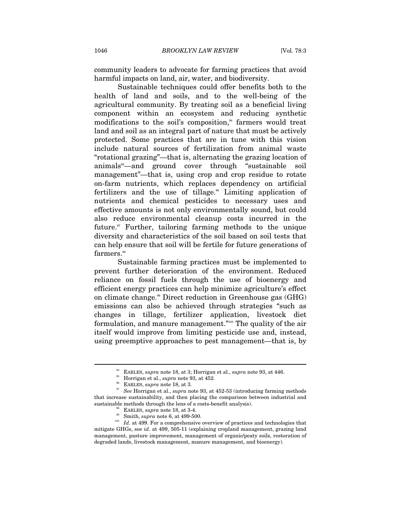community leaders to advocate for farming practices that avoid harmful impacts on land, air, water, and biodiversity.

Sustainable techniques could offer benefits both to the health of land and soils, and to the well-being of the agricultural community. By treating soil as a beneficial living component within an ecosystem and reducing synthetic modifications to the soil's composition, $4$  farmers would treat land and soil as an integral part of nature that must be actively protected. Some practices that are in tune with this vision include natural sources of fertilization from animal waste "rotational grazing"—that is, alternating the grazing location of animals<sup>®</sup>—and ground cover through "sustainable soil management"—that is, using crop and crop residue to rotate on-farm nutrients, which replaces dependency on artificial fertilizers and the use of tillage.<sup>86</sup> Limiting application of nutrients and chemical pesticides to necessary uses and effective amounts is not only environmentally sound, but could also reduce environmental cleanup costs incurred in the future. $\alpha$ <sup>97</sup> Further, tailoring farming methods to the unique diversity and characteristics of the soil based on soil tests that can help ensure that soil will be fertile for future generations of  $\mathrm{farmers.}^{\mathrm{ss}}$ 

Sustainable farming practices must be implemented to prevent further deterioration of the environment. Reduced reliance on fossil fuels through the use of bioenergy and efficient energy practices can help minimize agriculture's effect on climate change.<sup>99</sup> Direct reduction in Greenhouse gas  $(GHG)$ emissions can also be achieved through strategies "such as changes in tillage, fertilizer application, livestock diet formulation, and manure management."100 The quality of the air itself would improve from limiting pesticide use and, instead, using preemptive approaches to pest management—that is, by

<sup>&</sup>lt;sup>34</sup> EARLES, *supra* note 18, at 3; Horrigan et al., *supra* note 93, at 446.<br><sup>35</sup> Horrigan et al., *supra* note 93, at 452.<br><sup>36</sup> EARLES, *supra* note 18, at 3.<br><sup>37</sup> See Horrigan et al., *supra* note 93, at 452-53 (introd that increase sustainability, and then placing the comparison between industrial and % sustainable methods through the lens of a costs-benefit analysis).<br>
<sup>98</sup> EARLES, *supra* note 18, at 3-4.<br>
<sup>99</sup> Smith, *supra* note 6, at 499-500.<br>
<sup>100</sup> Id. at 499. For a comprehensive overview of practices and technol

mitigate GHGs, see *id.* at 499, 505-11 (explaining cropland management, grazing land management, pasture improvement, management of organic/peaty soils, restoration of degraded lands, livestock management, manure management, and bioenergy).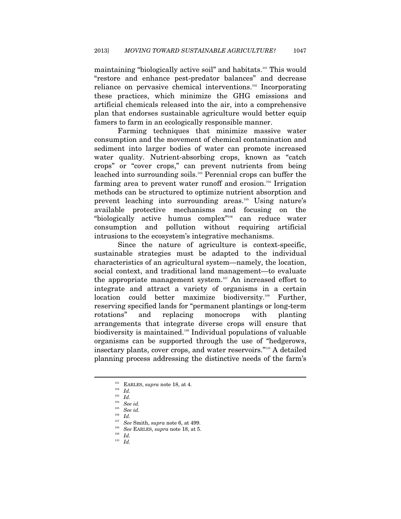maintaining "biologically active soil" and habitats.<sup>101</sup> This would "restore and enhance pest-predator balances" and decrease reliance on pervasive chemical interventions.102 Incorporating these practices, which minimize the GHG emissions and artificial chemicals released into the air, into a comprehensive plan that endorses sustainable agriculture would better equip famers to farm in an ecologically responsible manner.

Farming techniques that minimize massive water consumption and the movement of chemical contamination and sediment into larger bodies of water can promote increased water quality. Nutrient-absorbing crops, known as "catch" crops" or "cover crops," can prevent nutrients from being leached into surrounding soils.103 Perennial crops can buffer the farming area to prevent water runoff and erosion.<sup>104</sup> Irrigation methods can be structured to optimize nutrient absorption and prevent leaching into surrounding areas.105 Using nature's available protective mechanisms and focusing on the "biologically active humus complex"106 can reduce water consumption and pollution without requiring artificial intrusions to the ecosystem's integrative mechanisms.

Since the nature of agriculture is context-specific, sustainable strategies must be adapted to the individual characteristics of an agricultural system—namely, the location, social context, and traditional land management—to evaluate the appropriate management system.<sup>107</sup> An increased effort to integrate and attract a variety of organisms in a certain location could better maximize biodiversity.<sup>108</sup> Further, reserving specified lands for "permanent plantings or long-term rotations" and replacing monocrops with planting arrangements that integrate diverse crops will ensure that biodiversity is maintained.109 Individual populations of valuable organisms can be supported through the use of "hedgerows, insectary plants, cover crops, and water reservoirs."110 A detailed planning process addressing the distinctive needs of the farm's

<sup>101</sup> EARLES, *supra* note 18, at 4. 102 *Id.*

<sup>103</sup> *Id.*

<sup>104</sup> *See id.*

<sup>&</sup>lt;sup>106</sup> *Id.* 206 *Id.* 107 *See Smith, supra* note 6, at 499.<br><sup>108</sup> *See EARLES, supra* note 18, at 5. 109 *Id. Id. Id.*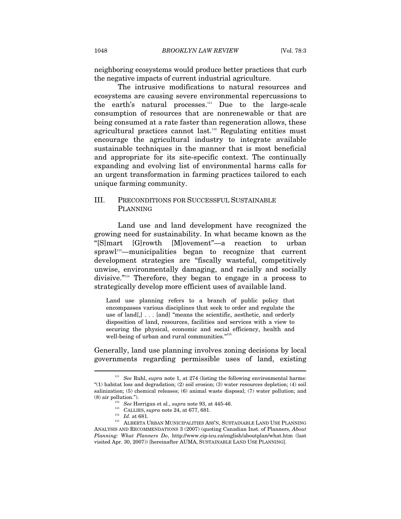neighboring ecosystems would produce better practices that curb the negative impacts of current industrial agriculture.

The intrusive modifications to natural resources and ecosystems are causing severe environmental repercussions to the earth's natural processes.<sup>111</sup> Due to the large-scale consumption of resources that are nonrenewable or that are being consumed at a rate faster than regeneration allows, these agricultural practices cannot last.<sup>112</sup> Regulating entities must encourage the agricultural industry to integrate available sustainable techniques in the manner that is most beneficial and appropriate for its site-specific context. The continually expanding and evolving list of environmental harms calls for an urgent transformation in farming practices tailored to each unique farming community.

# III. PRECONDITIONS FOR SUCCESSFUL SUSTAINABLE PLANNING

Land use and land development have recognized the growing need for sustainability. In what became known as the "[S]mart [G]rowth [M]ovement"—a reaction to urban sprawl<sup>113</sup>—municipalities began to recognize that current development strategies are "fiscally wasteful, competitively unwise, environmentally damaging, and racially and socially divisive."114 Therefore, they began to engage in a process to strategically develop more efficient uses of available land.

Land use planning refers to a branch of public policy that encompasses various disciplines that seek to order and regulate the use of land[,] . . . [and] "means the scientific, aesthetic, and orderly disposition of land, resources, facilities and services with a view to securing the physical, economic and social efficiency, health and well-being of urban and rural communities."<sup>115</sup>

Generally, land use planning involves zoning decisions by local governments regarding permissible uses of land, existing

 $111$  *See Ruhl, supra* note 1, at 274 (listing the following environmental harms: "(1) habitat loss and degradation; (2) soil erosion; (3) water resources depletion; (4) soil salinization; (5) chemical releases; (6) animal waste disposal; (7) water pollution; and

<sup>(8)</sup> air pollution.").<br>
<sup>112</sup> *See* Horrigan et al., *supra* note 93, at 445-46.<br>
<sup>113</sup> CALLIES, *supra* note 24, at 677, 681.<br>
<sup>114</sup> *Id.* at 681.<br>
<sup>115</sup> ALBERTA URBAN MUNICIPALITIES ASS'N, SUSTAINABLE LAND USE PLANNING ANALYSIS AND RECOMMENDATIONS 3 (2007) (quoting Canadian Inst. of Planners, *About Planning: What Planners Do*, http://www.cip-icu.ca/english/aboutplan/what.htm (last visited Apr. 30, 2007)) [hereinafter AUMA, SUSTAINABLE LAND USE PLANNING].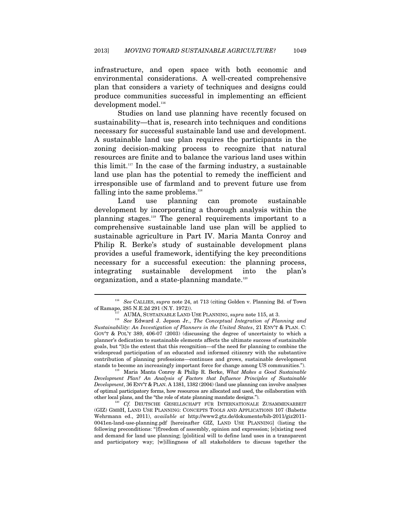infrastructure, and open space with both economic and environmental considerations. A well-created comprehensive plan that considers a variety of techniques and designs could produce communities successful in implementing an efficient development model.<sup>116</sup>

Studies on land use planning have recently focused on sustainability—that is, research into techniques and conditions necessary for successful sustainable land use and development. A sustainable land use plan requires the participants in the zoning decision-making process to recognize that natural resources are finite and to balance the various land uses within this limit.<sup>117</sup> In the case of the farming industry, a sustainable land use plan has the potential to remedy the inefficient and irresponsible use of farmland and to prevent future use from falling into the same problems.<sup>118</sup>

Land use planning can promote sustainable development by incorporating a thorough analysis within the planning stages.119 The general requirements important to a comprehensive sustainable land use plan will be applied to sustainable agriculture in Part IV. Maria Manta Conroy and Philip R. Berke's study of sustainable development plans provides a useful framework, identifying the key preconditions necessary for a successful execution: the planning process, integrating sustainable development into the plan's organization, and a state-planning mandate.<sup>120</sup>

 $\overline{a}$ 

*Development Plan? An Analysis of Factors that Influence Principles of Sustainable Development*, 36 ENV'T & PLAN. A 1381, 1382 (2004) (land use planning can involve analyses of optimal participatory forms, how resources are allocated and used, the collaboration with other local plans, and the "the role of state planning mandate designs.").<br><sup>120</sup> Cf. DEUTSCHE GESELLSCHAFT FÜR INTERNATIONALE ZUSAMMENARBEIT

(GIZ) GMBH, LAND USE PLANNING: CONCEPTS TOOLS AND APPLICATIONS 107 (Babette Wehrmann ed., 2011), *available at* http://www2.gtz.de/dokumente/bib-2011/giz2011- 0041en-land-use-planning.pdf [hereinafter GIZ, LAND USE PLANNING] (listing the following preconditions: "[f]reedom of assembly, opinion and expression; [e]xisting need and demand for land use planning; [p]olitical will to define land uses in a transparent and participatory way; [w]illingness of all stakeholders to discuss together the

<sup>116</sup> *See* CALLIES, *supra* note 24, at 713 (citing Golden v. Planning Bd. of Town

of Ramapo, 285 N.E.2d 291 (N.Y. 1972)).<br><sup>117</sup> AUMA, SUSTAINABLE LAND USE PLANNING, *supra* note 115, at 3.<br><sup>118</sup> *See* Edward J. Jepson Jr., *The Conceptual Integration of Planning and Sustainability: An Investigation of Planners in the United States*, 21 ENV'T & PLAN. C: GOV'T & POL'Y 389, 406-07 (2003) (discussing the degree of uncertainty to which a planner's dedication to sustainable elements affects the ultimate success of sustainable goals, but "[t]o the extent that this recognition—of the need for planning to combine the widespread participation of an educated and informed citizenry with the substantive contribution of planning professions—continues and grows, sustainable development stands to become an increasingly important force for change among US communities."). 119 Maria Manta Conroy & Philip R. Berke, *What Makes a Good Sustainable*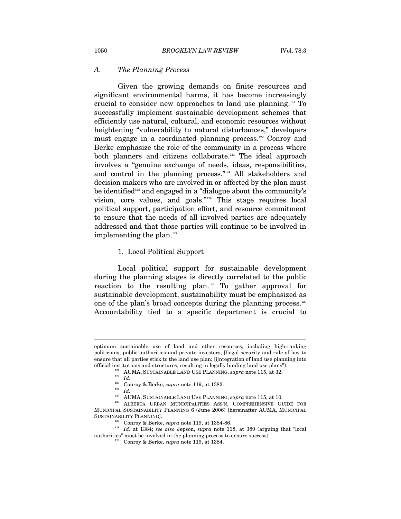#### *A. The Planning Process*

Given the growing demands on finite resources and significant environmental harms, it has become increasingly crucial to consider new approaches to land use planning.121 To successfully implement sustainable development schemes that efficiently use natural, cultural, and economic resources without heightening "vulnerability to natural disturbances," developers must engage in a coordinated planning process.<sup>122</sup> Conroy and Berke emphasize the role of the community in a process where both planners and citizens collaborate.<sup>123</sup> The ideal approach involves a "genuine exchange of needs, ideas, responsibilities, and control in the planning process."124 All stakeholders and decision makers who are involved in or affected by the plan must be identified<sup>125</sup> and engaged in a "dialogue about the community's vision, core values, and goals."126 This stage requires local political support, participation effort, and resource commitment to ensure that the needs of all involved parties are adequately addressed and that those parties will continue to be involved in implementing the plan. $127$ 

#### 1. Local Political Support

Local political support for sustainable development during the planning stages is directly correlated to the public reaction to the resulting plan.128 To gather approval for sustainable development, sustainability must be emphasized as one of the plan's broad concepts during the planning process.<sup>129</sup> Accountability tied to a specific department is crucial to

optimum sustainable use of land and other resources, including high-ranking politicians, public authorities and private investors; [l]egal security and rule of law to ensure that all parties stick to the land use plan; [i]ntegration of land use planning into % official institutions and structures, resulting in legally binding land use plans").<br>
<sup>121</sup> AUMA, SUSTAINABLE LAND USE PLANNING, *supra* note 115, at 32.<br>
<sup>122</sup> *Id.*<br>
<sup>123</sup> Conroy & Berke, *supra* note 119, at 1382.<br>
<sup></sup>

MUNICIPAL SUSTAINABILITY PLANNING 6 (June 2006) [hereinafter AUMA, MUNICIPAL

SUSTAINABILITY PLANNING].<br><sup>127</sup> Conroy & Berke, *supra* note 119, at 1384-86.<br><sup>128</sup> *Id.* at 1384; *see also Jepson, supra* note 118, at 389 (arguing that "local authorities" must be involved in the planning process to ensure success).

<sup>129</sup> Conroy & Berke, *supra* note 119, at 1384.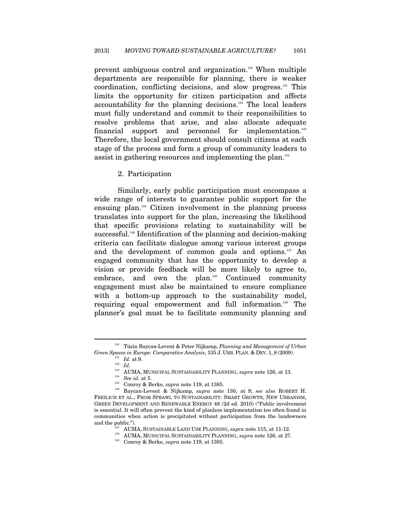prevent ambiguous control and organization.130 When multiple departments are responsible for planning, there is weaker coordination, conflicting decisions, and slow progress.131 This limits the opportunity for citizen participation and affects accountability for the planning decisions.<sup>132</sup> The local leaders must fully understand and commit to their responsibilities to resolve problems that arise, and also allocate adequate financial support and personnel for implementation.<sup>133</sup> Therefore, the local government should consult citizens at each stage of the process and form a group of community leaders to assist in gathering resources and implementing the plan.134

#### 2. Participation

Similarly, early public participation must encompass a wide range of interests to guarantee public support for the ensuing plan.135 Citizen involvement in the planning process translates into support for the plan, increasing the likelihood that specific provisions relating to sustainability will be successful.<sup>136</sup> Identification of the planning and decision-making criteria can facilitate dialogue among various interest groups and the development of common goals and options.137 An engaged community that has the opportunity to develop a vision or provide feedback will be more likely to agree to, embrace, and own the plan.<sup>138</sup> Continued community engagement must also be maintained to ensure compliance with a bottom-up approach to the sustainability model, requiring equal empowerment and full information.139 The planner's goal must be to facilitate community planning and

<sup>130</sup> Tüzin Baycan-Levent & Peter Nijkamp, *Planning and Management of Urban Green Spaces in Europe: Comparative Analysis*, 135 J. URB. PLAN. & DEV. 1, 8 (2009).<br>
<sup>131</sup> *Id.* at 9.<br>
<sup>132</sup> *Id.* AUMA, MUNICIPAL SUSTAINABILITY PLANNING, *supra* note 126, at 13.

 $^{134}$  See id. at 5.<br>
Conroy & Berke, *supra* note 119, at 1385.<br>  $^{135}$  Baycan-Levent & Nijkamp, *supra* note 130, at 9; *see also* ROBERT H. FREILICH ET AL., FROM SPRAWL TO SUSTAINABILITY: SMART GROWTH, NEW URBANISM, GREEN DEVELOPMENT AND RENEWABLE ENERGY 48 (2d ed. 2010) ("Public involvement is essential. It will often prevent the kind of planless implementation too often found in communities when action is precipitated without participation from the landowners and the public."). 137 AUMA, SUSTAINABLE LAND USE PLANNING, *supra* note 115, at 11-12.<br><sup>138</sup> AUMA, MUNICIPAL SUSTAINABILITY PLANNING, *supra* note 126, at 27. Conroy & Berke, *supra* note 119, at 1385.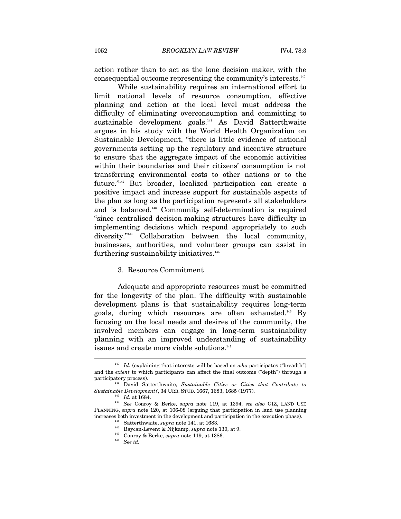action rather than to act as the lone decision maker, with the consequential outcome representing the community's interests.140

While sustainability requires an international effort to limit national levels of resource consumption, effective planning and action at the local level must address the difficulty of eliminating overconsumption and committing to sustainable development goals.<sup>141</sup> As David Satterthwaite argues in his study with the World Health Organization on Sustainable Development, "there is little evidence of national governments setting up the regulatory and incentive structure to ensure that the aggregate impact of the economic activities within their boundaries and their citizens' consumption is not transferring environmental costs to other nations or to the future."142 But broader, localized participation can create a positive impact and increase support for sustainable aspects of the plan as long as the participation represents all stakeholders and is balanced.143 Community self-determination is required "since centralised decision-making structures have difficulty in implementing decisions which respond appropriately to such diversity."<sup>144</sup> Collaboration between the local community, businesses, authorities, and volunteer groups can assist in furthering sustainability initiatives.<sup>145</sup>

#### 3. Resource Commitment

Adequate and appropriate resources must be committed for the longevity of the plan. The difficulty with sustainable development plans is that sustainability requires long-term goals, during which resources are often exhausted.146 By focusing on the local needs and desires of the community, the involved members can engage in long-term sustainability planning with an improved understanding of sustainability issues and create more viable solutions.<sup>147</sup>

<sup>&</sup>lt;sup>140</sup> Id. (explaining that interests will be based on *who* participates ("breadth") and the *extent* to which participants can affect the final outcome ("depth") through a participatory process). 141 David Satterthwaite, *Sustainable Cities or Cities that Contribute to* 

*Sustainable Development?*, 34 URB. STUD. 1667, 1683, 1685 (1977). 142 *Id.* at 1684. 143 *See* Conroy & Berke, *supra* note 119, at 1394; *see also* GIZ, LAND USE

PLANNING, *supra* note 120, at 106-08 (arguing that participation in land use planning % increases both investment in the development and participation in the execution phase).<br>
<sup>144</sup> Satterthwaite, *supra* note 141, at 1683.<br>
<sup>145</sup> Baycan-Levent & Nijkamp, *supra* note 130, at 9.<br>
<sup>146</sup> Conroy & Berke, *su*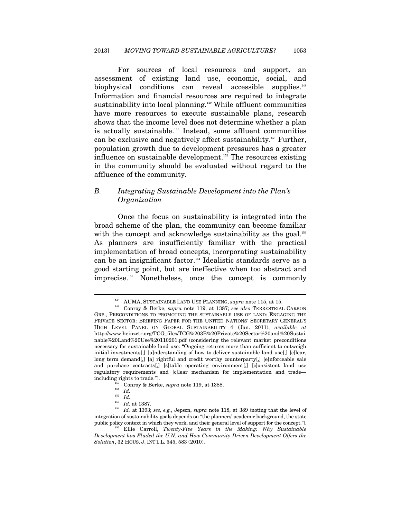For sources of local resources and support, an assessment of existing land use, economic, social, and biophysical conditions can reveal accessible supplies.<sup>148</sup> Information and financial resources are required to integrate sustainability into local planning.<sup>149</sup> While affluent communities have more resources to execute sustainable plans, research shows that the income level does not determine whether a plan is actually sustainable.150 Instead, some affluent communities can be exclusive and negatively affect sustainability.151 Further, population growth due to development pressures has a greater influence on sustainable development.<sup>152</sup> The resources existing in the community should be evaluated without regard to the affluence of the community.

# *B. Integrating Sustainable Development into the Plan's Organization*

Once the focus on sustainability is integrated into the broad scheme of the plan, the community can become familiar with the concept and acknowledge sustainability as the goal.<sup>153</sup> As planners are insufficiently familiar with the practical implementation of broad concepts, incorporating sustainability can be an insignificant factor.154 Idealistic standards serve as a good starting point, but are ineffective when too abstract and imprecise.155 Nonetheless, once the concept is commonly

<sup>148</sup> AUMA, SUSTAINABLE LAND USE PLANNING, *supra* note 115, at 15. 149 Conroy & Berke, *supra* note 119, at 1387; *see also* TERRESTRIAL CARBON GRP., PRECONDITIONS TO PROMOTING THE SUSTAINABLE USE OF LAND: ENGAGING THE PRIVATE SECTOR: BRIEFING PAPER FOR THE UNITED NATIONS' SECRETARY GENERAL'S HIGH LEVEL PANEL ON GLOBAL SUSTAINABILITY 4 (Jan. 2011), *available at*  http://www.heinzctr.org/TCG\_files/TCG%203B%20Private%20Sector%20and%20Sustai nable%20Land%20Use%20110201.pdf (considering the relevant market preconditions necessary for sustainable land use: "Ongoing returns more than sufficient to outweigh initial investments[,] [u]nderstanding of how to deliver sustainable land use[,] [c]lear, long term demand[,] [a] rightful and credit worthy counterparty[,] [e]nforceable sale and purchase contracts[,] [s]table operating environment[,] [c]onsistent land use regulatory requirements and [c]lear mechanism for implementation and trade including rights to trade.").<br>
<sup>150</sup> Conroy & Berke, *supra* note 119, at 1388.<br>
<sup>151</sup> *Id.*<br>
<sup>152</sup> *Id.*<br>
<sup>152</sup> *Id.* at 1387.

<sup>153</sup> *Id.* at 1387. 154 *Id.* at 1393; *see, e.g.*, Jepson, *supra* note 118, at 389 (noting that the level of integration of sustainability goals depends on "the planners' academic background, the state public policy context in which they work, and their general level of support for the concept.").

<sup>155</sup> Ellie Carroll, *Twenty-Five Years in the Making: Why Sustainable Development has Eluded the U.N. and How Community-Driven Development Offers the Solution*, 32 HOUS. J. INT'L L. 545, 583 (2010).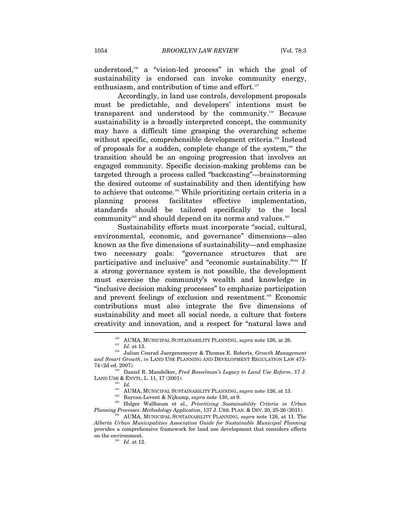understood,156 a "vision-led process" in which the goal of sustainability is endorsed can invoke community energy, enthusiasm, and contribution of time and effort.<sup>157</sup>

Accordingly, in land use controls, development proposals must be predictable, and developers' intentions must be transparent and understood by the community.158 Because sustainability is a broadly interpreted concept, the community may have a difficult time grasping the overarching scheme without specific, comprehensible development criteria.<sup>159</sup> Instead of proposals for a sudden, complete change of the system, $160$  the transition should be an ongoing progression that involves an engaged community. Specific decision-making problems can be targeted through a process called "backcasting"—brainstorming the desired outcome of sustainability and then identifying how to achieve that outcome.161 While prioritizing certain criteria in a planning process facilitates effective implementation, standards should be tailored specifically to the local community<sup>162</sup> and should depend on its norms and values.<sup>163</sup>

Sustainability efforts must incorporate "social, cultural, environmental, economic, and governance" dimensions—also known as the five dimensions of sustainability—and emphasize two necessary goals: "governance structures that are participative and inclusive" and "economic sustainability."164 If a strong governance system is not possible, the development must exercise the community's wealth and knowledge in "inclusive decision making processes" to emphasize participation and prevent feelings of exclusion and resentment.<sup>165</sup> Economic contributions must also integrate the five dimensions of sustainability and meet all social needs, a culture that fosters creativity and innovation, and a respect for "natural laws and  $\overline{\phantom{a}}$ 

<sup>156</sup> AUMA, MUNICIPAL SUSTAINABILITY PLANNING, *supra* note 126, at 26. 157 *Id.* at 13. 158 Julian Conrad Juergensmeyer & Thomas E. Roberts, *Growth Management and Smart Growth*, *in* LAND USE PLANNING AND DEVELOPMENT REGULATION LAW 473- 74 (2d ed. 2007). 159 Daniel R. Mandelker, *Fred Bosselman's Legacy to Land Use Reform*, 17 J.

LAND USE & ENVTL. L. 11, 17 (2001). 160 *Id.*

<sup>&</sup>lt;sup>161</sup> AUMA, MUNICIPAL SUSTAINABILITY PLANNING, *supra* note 126, at 13.<br><sup>162</sup> Baycan-Levent & Nijkamp, *supra* note 130, at 9.<br><sup>163</sup> Holger Wallbaum et al., *Prioritizing Sustainability Criteria in Urban Planning Processes: Methodology Application*, 137 J. URB. PLAN. & DEV. 20, 25-26 (2011). 164 AUMA, MUNICIPAL SUSTAINABILITY PLANNING, *supra* note 126, at 11. The

*Alberta Urban Municipalities Association Guide for Sustainable Municipal Planning* provides a comprehensive framework for land use development that considers effects on the environment.<br> $\frac{165}{165}$  *Id.* at 12.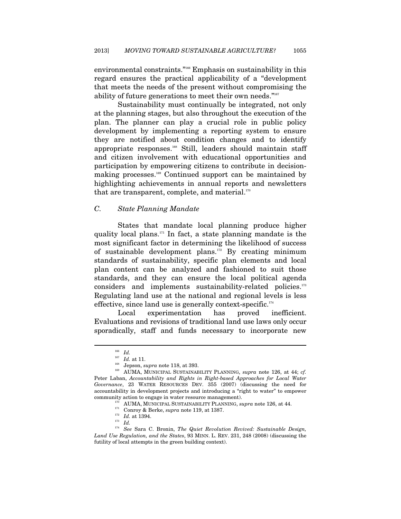environmental constraints."166 Emphasis on sustainability in this regard ensures the practical applicability of a "development that meets the needs of the present without compromising the ability of future generations to meet their own needs."167

Sustainability must continually be integrated, not only at the planning stages, but also throughout the execution of the plan. The planner can play a crucial role in public policy development by implementing a reporting system to ensure they are notified about condition changes and to identify appropriate responses.168 Still, leaders should maintain staff and citizen involvement with educational opportunities and participation by empowering citizens to contribute in decisionmaking processes.169 Continued support can be maintained by highlighting achievements in annual reports and newsletters that are transparent, complete, and material. $170$ 

### *C. State Planning Mandate*

States that mandate local planning produce higher quality local plans.171 In fact, a state planning mandate is the most significant factor in determining the likelihood of success of sustainable development plans.172 By creating minimum standards of sustainability, specific plan elements and local plan content can be analyzed and fashioned to suit those standards, and they can ensure the local political agenda considers and implements sustainability-related policies.<sup>173</sup> Regulating land use at the national and regional levels is less effective, since land use is generally context-specific.<sup>174</sup>

Local experimentation has proved inefficient. Evaluations and revisions of traditional land use laws only occur sporadically, staff and funds necessary to incorporate new

 $\begin{array}{ll} \frac{166}{167} & Id. \\ \frac{167}{161} & Id. \text{ at } 11. \end{array}$ 

<sup>&</sup>lt;sup>168</sup> Jepson, *supra* note 118, at 393.<br><sup>169</sup> AUMA, MUNICIPAL SUSTAINABILITY PLANNING, *supra* note 126, at 44; *cf.* Peter Laban, *Accountability and Rights in Right-based Approaches for Local Water Governance*, 23 WATER RESOURCES DEV. 355 (2007) (discussing the need for accountability in development projects and introducing a "right to water" to empower community action to engage in water resource management).<br>
<sup>170</sup> AUMA, MUNICIPAL SUSTAINABILITY PLANNING, *supra* note 126, at 44.<br>
<sup>171</sup> Conroy & Berke, *supra* note 119, at 1387.<br>
<sup>172</sup> *Id.* at 1394.

<sup>174</sup> *See* Sara C. Bronin, *The Quiet Revolution Revived: Sustainable Design, Land Use Regulation, and the States*, 93 MINN. L. REV. 231, 248 (2008) (discussing the futility of local attempts in the green building context).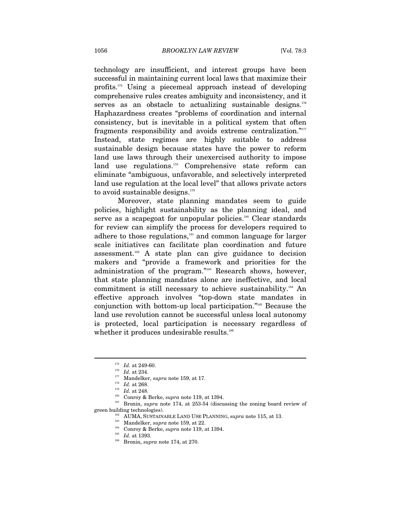technology are insufficient, and interest groups have been successful in maintaining current local laws that maximize their profits.175 Using a piecemeal approach instead of developing comprehensive rules creates ambiguity and inconsistency, and it serves as an obstacle to actualizing sustainable designs.<sup>176</sup> Haphazardness creates "problems of coordination and internal consistency, but is inevitable in a political system that often fragments responsibility and avoids extreme centralization."177 Instead, state regimes are highly suitable to address sustainable design because states have the power to reform land use laws through their unexercised authority to impose land use regulations.<sup>178</sup> Comprehensive state reform can eliminate "ambiguous, unfavorable, and selectively interpreted land use regulation at the local level" that allows private actors to avoid sustainable designs.<sup>179</sup>

Moreover, state planning mandates seem to guide policies, highlight sustainability as the planning ideal, and serve as a scapegoat for unpopular policies.<sup>180</sup> Clear standards for review can simplify the process for developers required to adhere to those regulations,<sup>181</sup> and common language for larger scale initiatives can facilitate plan coordination and future assessment.<sup>182</sup> A state plan can give guidance to decision makers and "provide a framework and priorities for the administration of the program."<sup>183</sup> Research shows, however, that state planning mandates alone are ineffective, and local commitment is still necessary to achieve sustainability.184 An effective approach involves "top-down state mandates in conjunction with bottom-up local participation."185 Because the land use revolution cannot be successful unless local autonomy is protected, local participation is necessary regardless of whether it produces undesirable results.<sup>186</sup>

<sup>&</sup>lt;sup>175</sup> *Id.* at 249-60.<br>
<sup>176</sup> *Id.* at 234.<br>
<sup>177</sup> Mandelker, *supra* note 159, at 17.<br>
<sup>178</sup> *Id.* at 268.<br>
<sup>179</sup> *Id.* at 248.<br>
Conroy & Berke, *supra* note 119, at 1394.<br>
<sup>180</sup> Conroy & Berke, *supra* note 119, at 1394 green building technologies).<br>
<sup>182</sup> AUMA, SUSTAINABLE LAND USE PLANNING, *supra* note 115, at 13.<br>
<sup>183</sup> Mandelker, *supra* note 159, at 22.<br>
<sup>184</sup> Conroy & Berke, *supra* note 119, at 1394.<br>
<sup>185</sup> *Id.* at 1393.<br>
<sup>186</sup>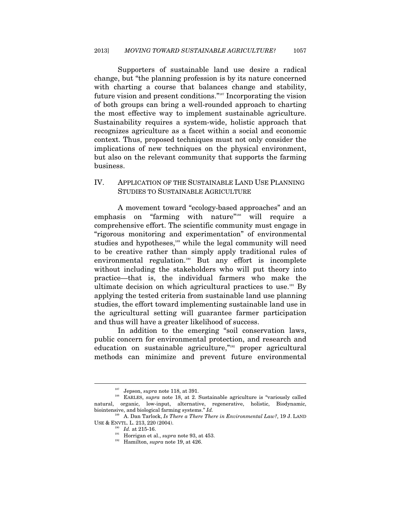Supporters of sustainable land use desire a radical change, but "the planning profession is by its nature concerned with charting a course that balances change and stability, future vision and present conditions."187 Incorporating the vision of both groups can bring a well-rounded approach to charting the most effective way to implement sustainable agriculture. Sustainability requires a system-wide, holistic approach that recognizes agriculture as a facet within a social and economic context. Thus, proposed techniques must not only consider the implications of new techniques on the physical environment, but also on the relevant community that supports the farming business.

# IV. APPLICATION OF THE SUSTAINABLE LAND USE PLANNING STUDIES TO SUSTAINABLE AGRICULTURE

A movement toward "ecology-based approaches" and an emphasis on "farming with nature"<sup>188</sup> will require a comprehensive effort. The scientific community must engage in "rigorous monitoring and experimentation" of environmental studies and hypotheses,<sup>189</sup> while the legal community will need to be creative rather than simply apply traditional rules of environmental regulation.<sup>190</sup> But any effort is incomplete without including the stakeholders who will put theory into practice—that is, the individual farmers who make the ultimate decision on which agricultural practices to use.<sup>191</sup> By applying the tested criteria from sustainable land use planning studies, the effort toward implementing sustainable land use in the agricultural setting will guarantee farmer participation and thus will have a greater likelihood of success.

In addition to the emerging "soil conservation laws, public concern for environmental protection, and research and education on sustainable agriculture,"<sup>192</sup> proper agricultural methods can minimize and prevent future environmental

<sup>&</sup>lt;sup>187</sup> Jepson, *supra* note 118, at 391.<br><sup>188</sup> EARLES, *supra* note 18, at 2. Sustainable agriculture is "variously called natural, organic, low-input, alternative, regenerative, holistic, Biodynamic, biointensive, and biological farming systems." *Id.*

<sup>&</sup>lt;sup>189</sup> A. Dan Tarlock, *Is There a There There in Environmental Law?*, 19 J. LAND USE & ENVTL. L. 213, 220 (2004).

<sup>&</sup>lt;sup>190</sup> *Id.* at 215-16.<br><sup>191</sup> Horrigan et al., *supra* note 93, at 453.<br><sup>192</sup> Hamilton, *supra* note 19, at 426.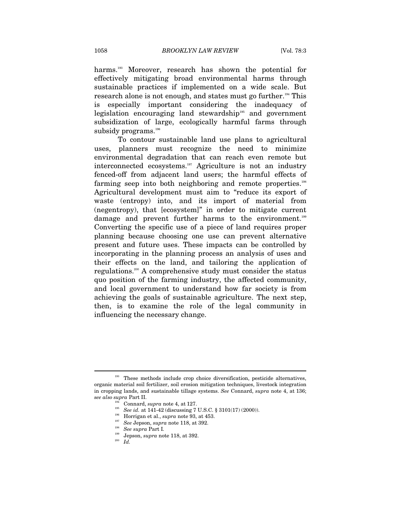harms.<sup>193</sup> Moreover, research has shown the potential for effectively mitigating broad environmental harms through sustainable practices if implemented on a wide scale. But research alone is not enough, and states must go further.194 This is especially important considering the inadequacy of legislation encouraging land stewardship<sup>195</sup> and government subsidization of large, ecologically harmful farms through subsidy programs.<sup>196</sup>

To contour sustainable land use plans to agricultural uses, planners must recognize the need to minimize environmental degradation that can reach even remote but interconnected ecosystems.197 Agriculture is not an industry fenced-off from adjacent land users; the harmful effects of farming seep into both neighboring and remote properties.<sup>198</sup> Agricultural development must aim to "reduce its export of waste (entropy) into, and its import of material from (negentropy), that [ecosystem]" in order to mitigate current damage and prevent further harms to the environment.<sup>199</sup> Converting the specific use of a piece of land requires proper planning because choosing one use can prevent alternative present and future uses. These impacts can be controlled by incorporating in the planning process an analysis of uses and their effects on the land, and tailoring the application of regulations.200 A comprehensive study must consider the status quo position of the farming industry, the affected community, and local government to understand how far society is from achieving the goals of sustainable agriculture. The next step, then, is to examine the role of the legal community in influencing the necessary change.

<sup>&</sup>lt;sup>193</sup> These methods include crop choice diversification, pesticide alternatives, organic material soil fertilizer, soil erosion mitigation techniques, livestock integration in cropping lands, and sustainable tillage systems. *See* Connard, *supra* note 4, at 136; see also supra Part II.<br>
<sup>194</sup> Connard, *supra* note 4, at 127.<br>
<sup>195</sup> See id. at 141-42 (discussing 7 U.S.C. § 3101(17) (2000)).<br>
<sup>196</sup> Horrigan et al., *supra* note 93, at 453.<br>
<sup>197</sup> See Jepson, *supra* note 118, at 39

<sup>199</sup> Jepson, *supra* note 118, at 392. 200 *Id.*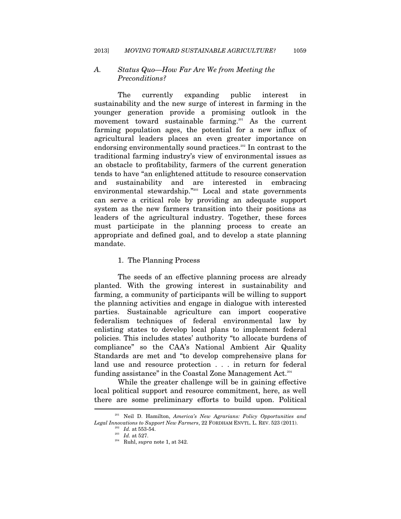## *A. Status Quo—How Far Are We from Meeting the Preconditions?*

The currently expanding public interest in sustainability and the new surge of interest in farming in the younger generation provide a promising outlook in the movement toward sustainable farming.<sup>201</sup> As the current farming population ages, the potential for a new influx of agricultural leaders places an even greater importance on endorsing environmentally sound practices.<sup>202</sup> In contrast to the traditional farming industry's view of environmental issues as an obstacle to profitability, farmers of the current generation tends to have "an enlightened attitude to resource conservation and sustainability and are interested in embracing environmental stewardship."<sup>203</sup> Local and state governments can serve a critical role by providing an adequate support system as the new farmers transition into their positions as leaders of the agricultural industry. Together, these forces must participate in the planning process to create an appropriate and defined goal, and to develop a state planning mandate.

## 1. The Planning Process

The seeds of an effective planning process are already planted. With the growing interest in sustainability and farming, a community of participants will be willing to support the planning activities and engage in dialogue with interested parties. Sustainable agriculture can import cooperative federalism techniques of federal environmental law by enlisting states to develop local plans to implement federal policies. This includes states' authority "to allocate burdens of compliance" so the CAA's National Ambient Air Quality Standards are met and "to develop comprehensive plans for land use and resource protection . . . in return for federal funding assistance" in the Coastal Zone Management Act.204

While the greater challenge will be in gaining effective local political support and resource commitment, here, as well there are some preliminary efforts to build upon. Political  $\overline{a}$ 

<sup>201</sup> Neil D. Hamilton, *America's New Agrarians: Policy Opportunities and Legal Innovations to Support New Farmers*, 22 FORDHAM ENVTL. L. REV. 523 (2011).  $\frac{203}{10}$  *Id.* at 553-54. <br><sup>203</sup> *Id.* at 527. <br><sup>204</sup> Ruhl, *supra* note 1, at 342.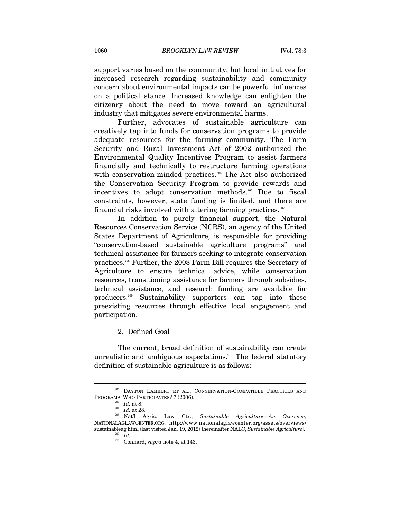support varies based on the community, but local initiatives for increased research regarding sustainability and community concern about environmental impacts can be powerful influences on a political stance. Increased knowledge can enlighten the citizenry about the need to move toward an agricultural industry that mitigates severe environmental harms.

Further, advocates of sustainable agriculture can creatively tap into funds for conservation programs to provide adequate resources for the farming community. The Farm Security and Rural Investment Act of 2002 authorized the Environmental Quality Incentives Program to assist farmers financially and technically to restructure farming operations with conservation-minded practices.<sup>205</sup> The Act also authorized the Conservation Security Program to provide rewards and incentives to adopt conservation methods.206 Due to fiscal constraints, however, state funding is limited, and there are financial risks involved with altering farming practices.<sup>207</sup>

In addition to purely financial support, the Natural Resources Conservation Service (NCRS), an agency of the United States Department of Agriculture, is responsible for providing "conservation-based sustainable agriculture programs" and technical assistance for farmers seeking to integrate conservation practices.208 Further, the 2008 Farm Bill requires the Secretary of Agriculture to ensure technical advice, while conservation resources, transitioning assistance for farmers through subsidies, technical assistance, and research funding are available for producers.209 Sustainability supporters can tap into these preexisting resources through effective local engagement and participation.

2. Defined Goal

The current, broad definition of sustainability can create unrealistic and ambiguous expectations.<sup>210</sup> The federal statutory definition of sustainable agriculture is as follows:

 $^{205}$  DAYTON LAMBERT ET AL., CONSERVATION-COMPATIBLE PRACTICES AND PROGRAMS: WHO PARTICIPATES? 7 (2006).

<sup>&</sup>lt;sup>206</sup> Id. at 8.<br><sup>207</sup> Id. at 28.<br><sup>208</sup> Nat'l Agric. Law Ctr., *Sustainable Agriculture—An Overview*, NATIONALAGLAWCENTER.ORG, http://www.nationalaglawcenter.org/assets/overviews/ sustainableag.html (last visited Jan. 19, 2012) [hereinafter NALC, *Sustainable Agriculture*]. 209 *Id.*

<sup>210</sup> Connard, *supra* note 4, at 143.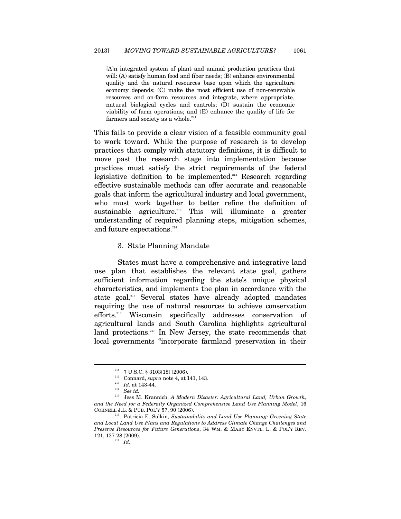[A]n integrated system of plant and animal production practices that will: (A) satisfy human food and fiber needs; (B) enhance environmental quality and the natural resources base upon which the agriculture economy depends; (C) make the most efficient use of non-renewable resources and on-farm resources and integrate, where appropriate, natural biological cycles and controls; (D) sustain the economic viability of farm operations; and (E) enhance the quality of life for farmers and society as a whole.<sup>211</sup>

This fails to provide a clear vision of a feasible community goal to work toward. While the purpose of research is to develop practices that comply with statutory definitions, it is difficult to move past the research stage into implementation because practices must satisfy the strict requirements of the federal legislative definition to be implemented.<sup>212</sup> Research regarding effective sustainable methods can offer accurate and reasonable goals that inform the agricultural industry and local government, who must work together to better refine the definition of sustainable agriculture.<sup>213</sup> This will illuminate a greater understanding of required planning steps, mitigation schemes, and future expectations.<sup>214</sup>

#### 3. State Planning Mandate

States must have a comprehensive and integrative land use plan that establishes the relevant state goal, gathers sufficient information regarding the state's unique physical characteristics, and implements the plan in accordance with the state goal.<sup>215</sup> Several states have already adopted mandates requiring the use of natural resources to achieve conservation efforts.216 Wisconsin specifically addresses conservation of agricultural lands and South Carolina highlights agricultural land protections.<sup>217</sup> In New Jersey, the state recommends that local governments "incorporate farmland preservation in their

<sup>211 7</sup> U.S.C. § 3103(18) (2006). 212 Connard, *supra* note 4, at 141, 143. 213 *Id.* at 143-44. 214 *See id.*

<sup>215</sup> Jess M. Krannich, *A Modern Disaster: Agricultural Land, Urban Growth, and the Need for a Federally Organized Comprehensive Land Use Planning Model*, 16

<sup>&</sup>lt;sup>216</sup> Patricia E. Salkin, *Sustainability and Land Use Planning: Greening State and Local Land Use Plans and Regulations to Address Climate Change Challenges and Preserve Resources for Future Generations*, 34 WM. & MARY ENVTL. L. & POL'Y REV. 121, 127-28 (2009).  $I\!\!17$   $I\!\!17$   $I\!\!14$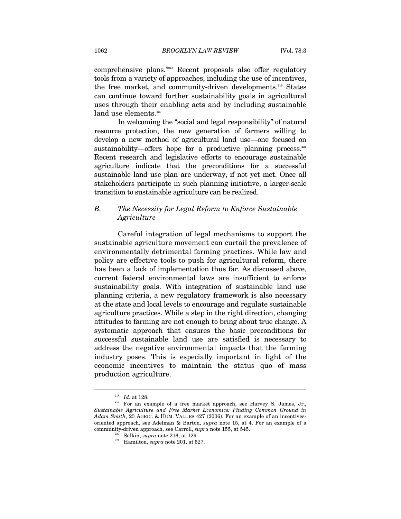comprehensive plans."218 Recent proposals also offer regulatory tools from a variety of approaches, including the use of incentives, the free market, and community-driven developments.<sup>219</sup> States can continue toward further sustainability goals in agricultural uses through their enabling acts and by including sustainable land use elements.<sup>220</sup>

In welcoming the "social and legal responsibility" of natural resource protection, the new generation of farmers willing to develop a new method of agricultural land use—one focused on sustainability—offers hope for a productive planning process. $221$ Recent research and legislative efforts to encourage sustainable agriculture indicate that the preconditions for a successful sustainable land use plan are underway, if not yet met. Once all stakeholders participate in such planning initiative, a larger-scale transition to sustainable agriculture can be realized.

# *B. The Necessity for Legal Reform to Enforce Sustainable Agriculture*

Careful integration of legal mechanisms to support the sustainable agriculture movement can curtail the prevalence of environmentally detrimental farming practices. While law and policy are effective tools to push for agricultural reform, there has been a lack of implementation thus far. As discussed above, current federal environmental laws are insufficient to enforce sustainability goals. With integration of sustainable land use planning criteria, a new regulatory framework is also necessary at the state and local levels to encourage and regulate sustainable agriculture practices. While a step in the right direction, changing attitudes to farming are not enough to bring about true change. A systematic approach that ensures the basic preconditions for successful sustainable land use are satisfied is necessary to address the negative environmental impacts that the farming industry poses. This is especially important in light of the economic incentives to maintain the status quo of mass production agriculture.

<sup>&</sup>lt;sup>218</sup> *Id.* at 128.<br><sup>219</sup> For an example of a free market approach, see Harvey S. James, Jr., *Sustainable Agriculture and Free Market Economics: Finding Common Ground in Adam Smith*, 23 AGRIC. & HUM. VALUES 427 (2006). For an example of an incentivesoriented approach, see Adelman & Barton, *supra* note 15, at 4. For an example of a community-driven approach, see Carroll, *supra* note 155, at 545.

<sup>&</sup>lt;sup>220</sup> Salkin, *supra* note 216, at 129.<br><sup>221</sup> Hamilton, *supra* note 201, at 527.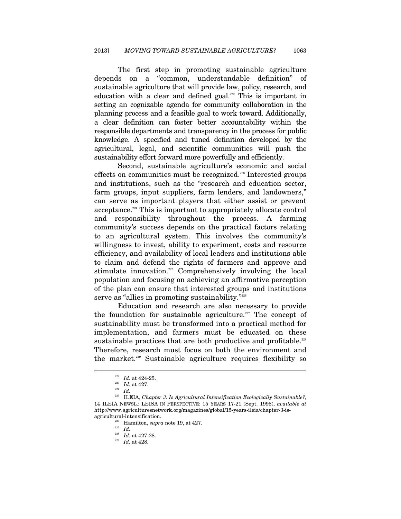The first step in promoting sustainable agriculture depends on a "common, understandable definition" of sustainable agriculture that will provide law, policy, research, and education with a clear and defined goal.<sup>222</sup> This is important in setting an cognizable agenda for community collaboration in the planning process and a feasible goal to work toward. Additionally, a clear definition can foster better accountability within the responsible departments and transparency in the process for public knowledge. A specified and tuned definition developed by the agricultural, legal, and scientific communities will push the sustainability effort forward more powerfully and efficiently.

Second, sustainable agriculture's economic and social effects on communities must be recognized.<sup>223</sup> Interested groups and institutions, such as the "research and education sector, farm groups, input suppliers, farm lenders, and landowners," can serve as important players that either assist or prevent acceptance.224 This is important to appropriately allocate control and responsibility throughout the process. A farming community's success depends on the practical factors relating to an agricultural system. This involves the community's willingness to invest, ability to experiment, costs and resource efficiency, and availability of local leaders and institutions able to claim and defend the rights of farmers and approve and stimulate innovation.225 Comprehensively involving the local population and focusing on achieving an affirmative perception of the plan can ensure that interested groups and institutions serve as "allies in promoting sustainability."<sup>226</sup>

Education and research are also necessary to provide the foundation for sustainable agriculture.<sup>227</sup> The concept of sustainability must be transformed into a practical method for implementation, and farmers must be educated on these sustainable practices that are both productive and profitable.<sup>228</sup> Therefore, research must focus on both the environment and the market.229 Sustainable agriculture requires flexibility so

<sup>222</sup> *Id.* at 424-25. 223 *Id.* at 427. 224 *Id.* 225 ILEIA, *Chapter 3: Is Agricultural Intensification Ecologically Sustainable?*, 14 ILEIA NEWSL.: LEISA IN PERSPECTIVE: 15 YEARS 17-21 (Sept. 1998), *available at* http://www.agriculturesnetwork.org/magazines/global/15-years-ileia/chapter-3-is-

agricultural-intensification.<br>
<sup>226</sup> Hamilton, *supra* note 19, at 427.<br>
<sup>227</sup> *Id.* at 427-28.<br>
<sup>229</sup> *Id.* at 428.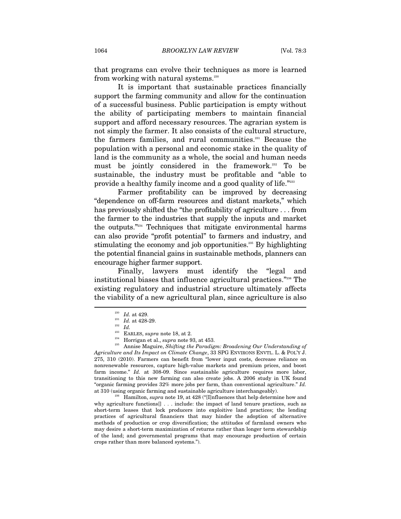that programs can evolve their techniques as more is learned from working with natural systems.<sup>230</sup>

It is important that sustainable practices financially support the farming community and allow for the continuation of a successful business. Public participation is empty without the ability of participating members to maintain financial support and afford necessary resources. The agrarian system is not simply the farmer. It also consists of the cultural structure, the farmers families, and rural communities.<sup>231</sup> Because the population with a personal and economic stake in the quality of land is the community as a whole, the social and human needs must be jointly considered in the framework.<sup>232</sup> To be sustainable, the industry must be profitable and "able to provide a healthy family income and a good quality of life."<sup>233</sup>

Farmer profitability can be improved by decreasing "dependence on off-farm resources and distant markets," which has previously shifted the "the profitability of agriculture . . . from the farmer to the industries that supply the inputs and market the outputs."234 Techniques that mitigate environmental harms can also provide "profit potential" to farmers and industry, and stimulating the economy and job opportunities.<sup>235</sup> By highlighting the potential financial gains in sustainable methods, planners can encourage higher farmer support.

Finally, lawyers must identify the "legal and institutional biases that influence agricultural practices."236 The existing regulatory and industrial structure ultimately affects the viability of a new agricultural plan, since agriculture is also  $\overline{a}$ 

<sup>234</sup> Horrigan et al., *supra* note 93, at 453.<br><sup>235</sup> Annise Maguire, *Shifting the Paradigm: Broadening Our Understanding of Agriculture and Its Impact on Climate Change*, 33 SPG ENVIRONS ENVTL. L. & POL'Y J. 275, 310 (2010). Farmers can benefit from "lower input costs, decrease reliance on nonrenewable resources, capture high-value markets and premium prices, and boost farm income." *Id.* at 308-09. Since sustainable agriculture requires more labor, transitioning to this new farming can also create jobs. A 2006 study in UK found "organic farming provides 32% more jobs per farm, than conventional agriculture." *Id.*  at 310 (using organic farming and sustainable agriculture interchangeably). 236 Hamilton, *supra* note 19, at 428 ("[I]nfluences that help determine how and

why agriculture functions[] . . . include: the impact of land tenure practices, such as short-term leases that lock producers into exploitive land practices; the lending practices of agricultural financiers that may hinder the adoption of alternative methods of production or crop diversification; the attitudes of farmland owners who may desire a short-term maximization of returns rather than longer term stewardship of the land; and governmental programs that may encourage production of certain crops rather than more balanced systems.").

<sup>&</sup>lt;sup>230</sup> *Id.* at 429.<br>
<sup>231</sup> *Id.* at 428-29.<br>
<sup>232</sup> *Id.*<br>
<sup>233</sup> EARLES, *supra* note 18, at 2.